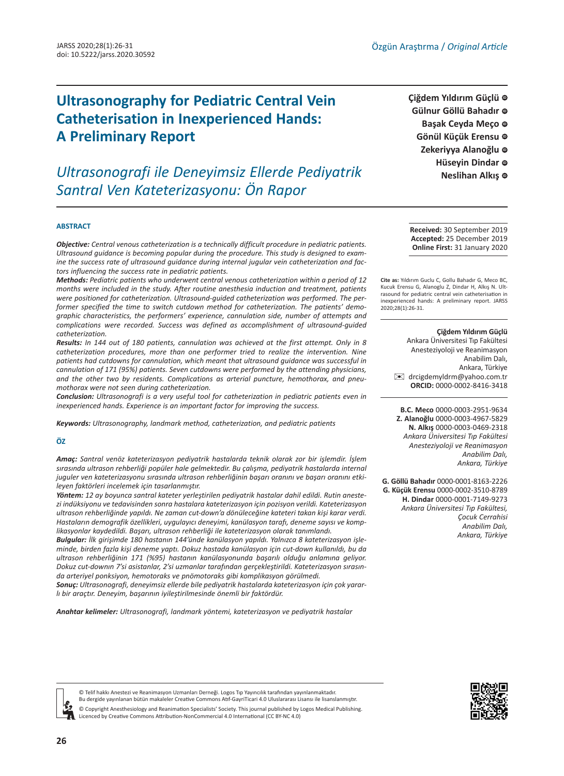# **[ID](https://orcid.org/0000-0002-8416-3418) Ultrasonography for Pediatric Central Vein Catheterisation in Inexperienced Hands: A Preliminary Report**

*Ultrasonografi ile Deneyimsiz Ellerde Pediyatrik Santral Ven Kateterizasyonu: Ön Rapor*

**Çiğdem Yıldırım Güçlü Gülnur Göllü Bahadır [ID](https://orcid.org/0000-0001-8163-2226)** Başak Ceyda Meço © **Gönül Küçük Erensu [ID](https://orcid.org/0000-0002-3510-8789)** Zekeriyya Alanoğlu © **Hüseyin Dindar** @ **Neslihan Alkış** 

#### **ABSTRACT**

*Objective: Central venous catheterization is a technically difficult procedure in pediatric patients. Ultrasound guidance is becoming popular during the procedure. This study is designed to examine the success rate of ultrasound guidance during internal jugular vein catheterization and factors influencing the success rate in pediatric patients.*

*Methods: Pediatric patients who underwent central venous catheterization within a period of 12 months were included in the study. After routine anesthesia induction and treatment, patients were positioned for catheterization. Ultrasound-guided catheterization was performed. The performer specified the time to switch cutdown method for catheterization. The patients' demographic characteristics, the performers' experience, cannulation side, number of attempts and complications were recorded. Success was defined as accomplishment of ultrasound-guided catheterization.* 

*Results: In 144 out of 180 patients, cannulation was achieved at the first attempt. Only in 8 catheterization procedures, more than one performer tried to realize the intervention. Nine patients had cutdowns for cannulation, which meant that ultrasound guidance was successful in cannulation of 171 (95%) patients. Seven cutdowns were performed by the attending physicians, and the other two by residents. Complications as arterial puncture, hemothorax, and pneumothorax were not seen during catheterization.* 

*Conclusion: Ultrasonografi is a very useful tool for catheterization in pediatric patients even in inexperienced hands. Experience is an important factor for improving the success.*

*Keywords: Ultrasonography, landmark method, catheterization, and pediatric patients*

#### **ÖZ**

*Amaç: Santral venöz kateterizasyon pediyatrik hastalarda teknik olarak zor bir işlemdir. İşlem sırasında ultrason rehberliği popüler hale gelmektedir. Bu çalışma, pediyatrik hastalarda internal juguler ven kateterizasyonu sırasında ultrason rehberliğinin başarı oranını ve başarı oranını etkileyen faktörleri incelemek için tasarlanmıştır.*

*Yöntem: 12 ay boyunca santral kateter yerleştirilen pediyatrik hastalar dahil edildi. Rutin anestezi indüksiyonu ve tedavisinden sonra hastalara kateterizasyon için pozisyon verildi. Kateterizasyon ultrason rehberliğinde yapıldı. Ne zaman cut-down'a dönüleceğine kateteri takan kişi karar verdi. Hastaların demografik özellikleri, uygulayıcı deneyimi, kanülasyon tarafı, deneme sayısı ve komplikasyonlar kaydedildi. Başarı, ultrason rehberliği ile kateterizasyon olarak tanımlandı.* 

*Bulgular: İlk girişimde 180 hastanın 144'ünde kanülasyon yapıldı. Yalnızca 8 kateterizasyon işleminde, birden fazla kişi deneme yaptı. Dokuz hastada kanülasyon için cut-down kullanıldı, bu da ultrason rehberliğinin 171 (%95) hastanın kanülasyonunda başarılı olduğu anlamına geliyor. Dokuz cut-downın 7'si asistanlar, 2'si uzmanlar tarafından gerçekleştirildi. Kateterizasyon sırasında arteriyel ponksiyon, hemotoraks ve pnömotoraks gibi komplikasyon görülmedi.*

*Sonuç: Ultrasonografi, deneyimsiz ellerde bile pediyatrik hastalarda kateterizasyon için çok yararlı bir araçtır. Deneyim, başarının iyileştirilmesinde önemli bir faktördür.*

*Anahtar kelimeler: Ultrasonografi, landmark yöntemi, kateterizasyon ve pediyatrik hastalar*

**Received:** 30 September 2019 **Accepted:** 25 December 2019 **Online First:** 31 January 2020

**Cite as:** Yıldırım Guclu C, Gollu Bahadır G, Meco BC, Kucuk Erensu G, Alanoglu Z, Dindar H, Alkış N. Ultrasound for pediatric central vein catheterisation in inexperienced hands: A preliminary report. JARSS 2020;28(1):26-31.

#### **Çiğdem Yıldırım Güçlü**

Ankara Üniversitesi Tıp Fakültesi Anesteziyoloji ve Reanimasyon Anabilim Dalı, Ankara, Türkiye [✉](mailto:drcigdemyldrm@yahoo.com.tr) drcigdemyldrm@yahoo.com.tr **ORCID:** 0000-0002-8416-3418

**B.C. Meco** 0000-0003-2951-9634 **Z. Alanoğlu** 0000-0003-4967-5829 **N. Alkış** 0000-0003-0469-2318 *Ankara Üniversitesi Tıp Fakültesi Anesteziyoloji ve Reanimasyon Anabilim Dalı, Ankara, Türkiye*

**G. Göllü Bahadır** 0000-0001-8163-2226 **G. Küçük Erensu** 0000-0002-3510-8789 **H. Dindar** 0000-0001-7149-9273 *Ankara Üniversitesi Tıp Fakültesi, Çocuk Cerrahisi Anabilim Dalı, Ankara, Türkiye*





© Telif hakkı Anestezi ve Reanimasyon Uzmanları Derneği. Logos Tıp Yayıncılık tarafından yayınlanmaktadır. Bu dergide yayınlanan bütün makaleler Creative Commons Atıf-GayriTicari 4.0 Uluslararası Lisansı ile lisanslanmıştır.

© Copyright Anesthesiology and Reanimation Specialists' Society. This journal published by Logos Medical Publishing. Licenced by Creative Commons Attribution-NonCommercial 4.0 International (CC BY-NC 4.0)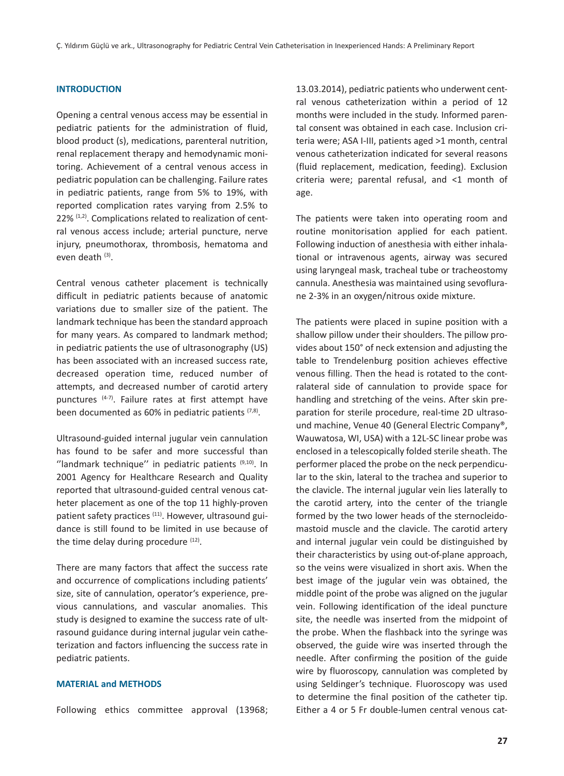# **INTRODUCTION**

Opening a central venous access may be essential in pediatric patients for the administration of fluid, blood product (s), medications, parenteral nutrition, renal replacement therapy and hemodynamic monitoring. Achievement of a central venous access in pediatric population can be challenging. Failure rates in pediatric patients, range from 5% to 19%, with reported complication rates varying from 2.5% to 22% (1,2). Complications related to realization of central venous access include; arterial puncture, nerve injury, pneumothorax, thrombosis, hematoma and even death (3).

Central venous catheter placement is technically difficult in pediatric patients because of anatomic variations due to smaller size of the patient. The landmark technique has been the standard approach for many years. As compared to landmark method; in pediatric patients the use of ultrasonography (US) has been associated with an increased success rate, decreased operation time, reduced number of attempts, and decreased number of carotid artery punctures (4-7). Failure rates at first attempt have been documented as  $60\%$  in pediatric patients  $(7,8)$ .

Ultrasound-guided internal jugular vein cannulation has found to be safer and more successful than "landmark technique" in pediatric patients  $(9,10)$ . In 2001 Agency for Healthcare Research and Quality reported that ultrasound-guided central venous catheter placement as one of the top 11 highly-proven patient safety practices <sup>(11)</sup>. However, ultrasound guidance is still found to be limited in use because of the time delay during procedure  $(12)$ .

There are many factors that affect the success rate and occurrence of complications including patients' size, site of cannulation, operator's experience, previous cannulations, and vascular anomalies. This study is designed to examine the success rate of ultrasound guidance during internal jugular vein catheterization and factors influencing the success rate in pediatric patients.

# **MATERIAL and METHODS**

Following ethics committee approval (13968;

13.03.2014), pediatric patients who underwent central venous catheterization within a period of 12 months were included in the study. Informed parental consent was obtained in each case. Inclusion criteria were; ASA I-III, patients aged >1 month, central venous catheterization indicated for several reasons (fluid replacement, medication, feeding). Exclusion criteria were; parental refusal, and <1 month of age.

The patients were taken into operating room and routine monitorisation applied for each patient. Following induction of anesthesia with either inhalational or intravenous agents, airway was secured using laryngeal mask, tracheal tube or tracheostomy cannula. Anesthesia was maintained using sevoflurane 2-3% in an oxygen/nitrous oxide mixture.

The patients were placed in supine position with a shallow pillow under their shoulders. The pillow provides about 150° of neck extension and adjusting the table to Trendelenburg position achieves effective venous filling. Then the head is rotated to the contralateral side of cannulation to provide space for handling and stretching of the veins. After skin preparation for sterile procedure, real-time 2D ultrasound machine, Venue 40 (General Electric Company®, Wauwatosa, WI, USA) with a 12L-SC linear probe was enclosed in a telescopically folded sterile sheath. The performer placed the probe on the neck perpendicular to the skin, lateral to the trachea and superior to the clavicle. The internal jugular vein lies laterally to the carotid artery, into the center of the triangle formed by the two lower heads of the sternocleidomastoid muscle and the clavicle. The carotid artery and internal jugular vein could be distinguished by their characteristics by using out-of-plane approach, so the veins were visualized in short axis. When the best image of the jugular vein was obtained, the middle point of the probe was aligned on the jugular vein. Following identification of the ideal puncture site, the needle was inserted from the midpoint of the probe. When the flashback into the syringe was observed, the guide wire was inserted through the needle. After confirming the position of the guide wire by fluoroscopy, cannulation was completed by using Seldinger's technique. Fluoroscopy was used to determine the final position of the catheter tip. Either a 4 or 5 Fr double-lumen central venous cat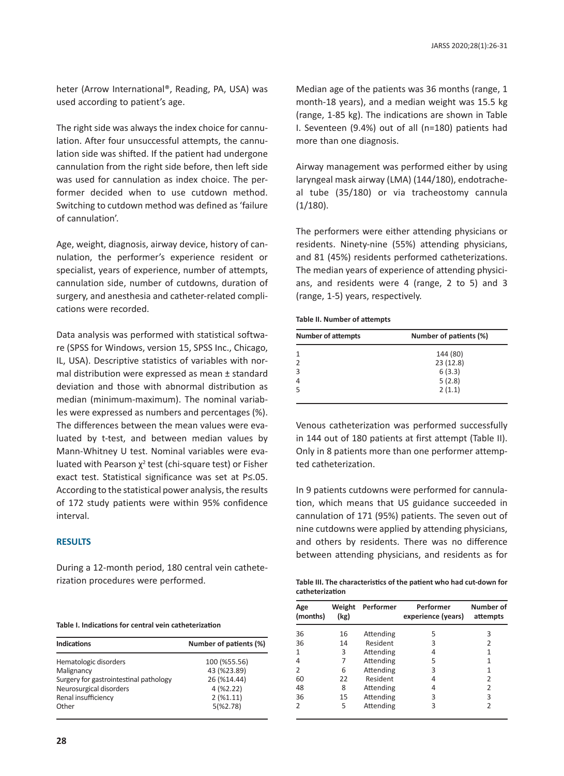heter (Arrow International®, Reading, PA, USA) was used according to patient's age.

The right side was always the index choice for cannulation. After four unsuccessful attempts, the cannulation side was shifted. If the patient had undergone cannulation from the right side before, then left side was used for cannulation as index choice. The performer decided when to use cutdown method. Switching to cutdown method was defined as 'failure of cannulation'.

Age, weight, diagnosis, airway device, history of cannulation, the performer's experience resident or specialist, years of experience, number of attempts, cannulation side, number of cutdowns, duration of surgery, and anesthesia and catheter-related complications were recorded.

Data analysis was performed with statistical software (SPSS for Windows, version 15, SPSS Inc., Chicago, IL, USA). Descriptive statistics of variables with normal distribution were expressed as mean ± standard deviation and those with abnormal distribution as median (minimum-maximum). The nominal variables were expressed as numbers and percentages (%). The differences between the mean values were evaluated by t-test, and between median values by Mann-Whitney U test. Nominal variables were evaluated with Pearson  $\chi^2$  test (chi-square test) or Fisher exact test. Statistical significance was set at P≤.05. According to the statistical power analysis, the results of 172 study patients were within 95% confidence interval.

## **RESULTS**

During a 12-month period, 180 central vein catheterization procedures were performed.

| Table I. Indications for central vein catheterization |  |
|-------------------------------------------------------|--|
|-------------------------------------------------------|--|

| <b>Indications</b>                     | Number of patients (%) |  |  |
|----------------------------------------|------------------------|--|--|
| Hematologic disorders                  | 100 (%55.56)           |  |  |
| Malignancy                             | 43 (%23.89)            |  |  |
| Surgery for gastrointestinal pathology | 26 (%14.44)            |  |  |
| Neurosurgical disorders                | 4(%2.22)               |  |  |
| Renal insufficiency                    | $2($ %1.11)            |  |  |
| Other                                  | 5(%2.78)               |  |  |

Median age of the patients was 36 months (range, 1 month-18 years), and a median weight was 15.5 kg (range, 1-85 kg). The indications are shown in Table I. Seventeen (9.4%) out of all (n=180) patients had more than one diagnosis.

Airway management was performed either by using laryngeal mask airway (LMA) (144/180), endotracheal tube (35/180) or via tracheostomy cannula  $(1/180)$ .

The performers were either attending physicians or residents. Ninety-nine (55%) attending physicians, and 81 (45%) residents performed catheterizations. The median years of experience of attending physicians, and residents were 4 (range, 2 to 5) and 3 (range, 1-5) years, respectively.

#### **Table II. Number of attempts**

| <b>Number of attempts</b> | Number of patients (%) |  |
|---------------------------|------------------------|--|
|                           | 144 (80)               |  |
|                           | 23(12.8)               |  |
| 3                         | 6(3.3)                 |  |
| $\overline{4}$            | 5(2.8)                 |  |
|                           | 2(1.1)                 |  |

Venous catheterization was performed successfully in 144 out of 180 patients at first attempt (Table II). Only in 8 patients more than one performer attempted catheterization.

In 9 patients cutdowns were performed for cannulation, which means that US guidance succeeded in cannulation of 171 (95%) patients. The seven out of nine cutdowns were applied by attending physicians, and others by residents. There was no difference between attending physicians, and residents as for

| Table III. The characteristics of the patient who had cut-down for |
|--------------------------------------------------------------------|
| catheterization                                                    |

| Age<br>(months) | Weight<br>(kg) | Performer | Performer<br>experience (years) | Number of<br>attempts |
|-----------------|----------------|-----------|---------------------------------|-----------------------|
| 36              | 16             | Attending | 5                               | 3                     |
| 36              | 14             | Resident  | 3                               | 2                     |
| 1               | 3              | Attending | 4                               | 1                     |
| 4               | 7              | Attending | 5                               | 1                     |
| 2               | 6              | Attending | 3                               | 1                     |
| 60              | 22             | Resident  | 4                               | 2                     |
| 48              | 8              | Attending | 4                               | 2                     |
| 36              | 15             | Attending | 3                               | 3                     |
| $\mathcal{P}$   | 5              | Attending | 3                               | 2                     |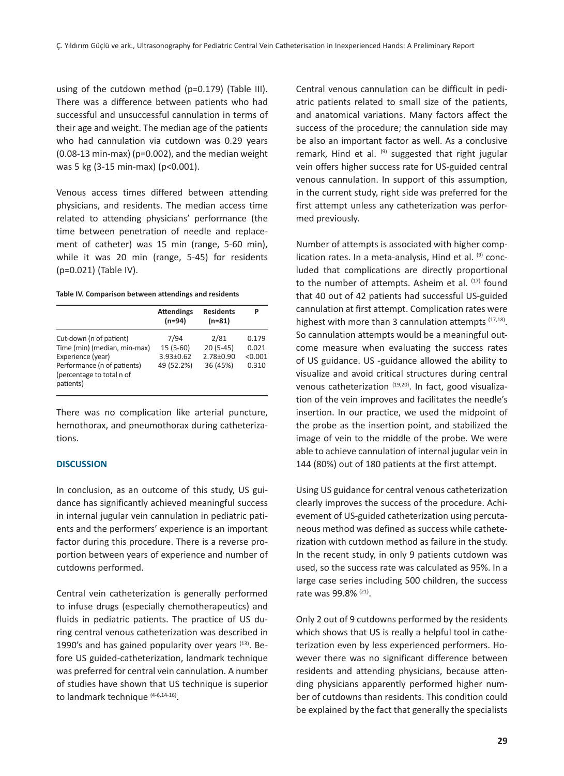using of the cutdown method (p=0.179) (Table III). There was a difference between patients who had successful and unsuccessful cannulation in terms of their age and weight. The median age of the patients who had cannulation via cutdown was 0.29 years (0.08-13 min-max) (p=0.002), and the median weight was 5 kg (3-15 min-max) (p<0.001).

Venous access times differed between attending physicians, and residents. The median access time related to attending physicians' performance (the time between penetration of needle and replacement of catheter) was 15 min (range, 5-60 min), while it was 20 min (range, 5-45) for residents (p=0.021) (Table IV).

| Table IV. Comparison between attendings and residents |  |  |  |
|-------------------------------------------------------|--|--|--|
|-------------------------------------------------------|--|--|--|

|                                                                                                                                                       | <b>Attendings</b><br>$(n=94)$                       | <b>Residents</b><br>$(n=81)$                      | P                                  |
|-------------------------------------------------------------------------------------------------------------------------------------------------------|-----------------------------------------------------|---------------------------------------------------|------------------------------------|
| Cut-down (n of patient)<br>Time (min) (median, min-max)<br>Experience (year)<br>Performance (n of patients)<br>(percentage to total n of<br>patients) | 7/94<br>$15(5-60)$<br>$3.93 \pm 0.62$<br>49 (52.2%) | 2/81<br>$20(5-45)$<br>$2.78 \pm 0.90$<br>36 (45%) | 0.179<br>0.021<br>< 0.001<br>0.310 |

There was no complication like arterial puncture, hemothorax, and pneumothorax during catheterizations.

### **DISCUSSION**

In conclusion, as an outcome of this study, US guidance has significantly achieved meaningful success in internal jugular vein cannulation in pediatric patients and the performers' experience is an important factor during this procedure. There is a reverse proportion between years of experience and number of cutdowns performed.

Central vein catheterization is generally performed to infuse drugs (especially chemotherapeutics) and fluids in pediatric patients. The practice of US during central venous catheterization was described in 1990's and has gained popularity over years  $(13)$ . Before US guided-catheterization, landmark technique was preferred for central vein cannulation. A number of studies have shown that US technique is superior to landmark technique (4-6,14-16).

Central venous cannulation can be difficult in pediatric patients related to small size of the patients, and anatomical variations. Many factors affect the success of the procedure; the cannulation side may be also an important factor as well. As a conclusive remark, Hind et al.  $(9)$  suggested that right jugular vein offers higher success rate for US-guided central venous cannulation. In support of this assumption, in the current study, right side was preferred for the first attempt unless any catheterization was performed previously.

Number of attempts is associated with higher complication rates. In a meta-analysis, Hind et al. (9) concluded that complications are directly proportional to the number of attempts. Asheim et al.  $(17)$  found that 40 out of 42 patients had successful US-guided cannulation at first attempt. Complication rates were highest with more than 3 cannulation attempts (17,18). So cannulation attempts would be a meaningful outcome measure when evaluating the success rates of US guidance. US -guidance allowed the ability to visualize and avoid critical structures during central venous catheterization (19,20). In fact, good visualization of the vein improves and facilitates the needle's insertion. In our practice, we used the midpoint of the probe as the insertion point, and stabilized the image of vein to the middle of the probe. We were able to achieve cannulation of internal jugular vein in 144 (80%) out of 180 patients at the first attempt.

Using US guidance for central venous catheterization clearly improves the success of the procedure. Achievement of US-guided catheterization using percutaneous method was defined as success while catheterization with cutdown method as failure in the study. In the recent study, in only 9 patients cutdown was used, so the success rate was calculated as 95%. In a large case series including 500 children, the success rate was 99.8% (21).

Only 2 out of 9 cutdowns performed by the residents which shows that US is really a helpful tool in catheterization even by less experienced performers. However there was no significant difference between residents and attending physicians, because attending physicians apparently performed higher number of cutdowns than residents. This condition could be explained by the fact that generally the specialists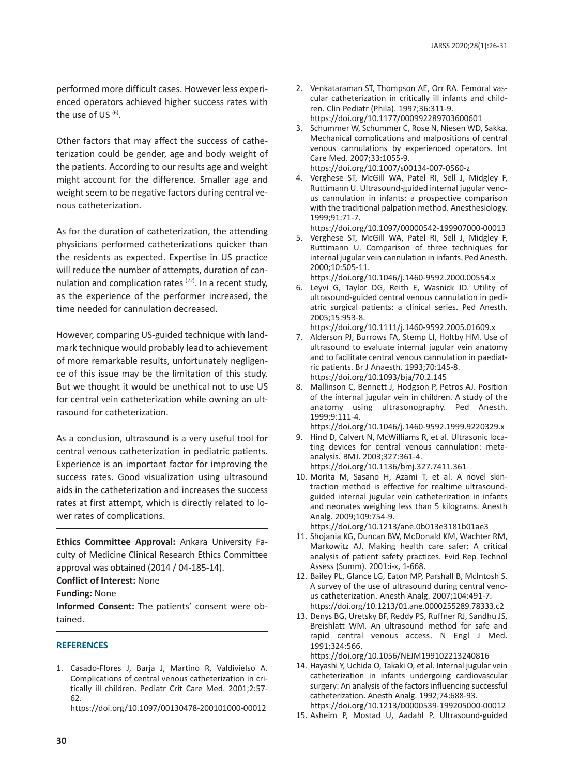performed more difficult cases. However less experienced operators achieved higher success rates with the use of US $(6)$ .

Other factors that may affect the success of catheterization could be gender, age and body weight of the patients. According to our results age and weight might account for the difference. Smaller age and weight seem to be negative factors during central venous catheterization.

As for the duration of catheterization, the attending physicians performed catheterizations quicker than the residents as expected. Expertise in US practice will reduce the number of attempts, duration of cannulation and complication rates  $(22)$ . In a recent study, as the experience of the performer increased, the time needed for cannulation decreased.

However, comparing US-guided technique with landmark technique would probably lead to achievement of more remarkable results, unfortunately negligence of this issue may be the limitation of this study. But we thought it would be unethical not to use US for central vein catheterization while owning an ultrasound for catheterization.

As a conclusion, ultrasound is a very useful tool for central venous catheterization in pediatric patients. Experience is an important factor for improving the success rates. Good visualization using ultrasound aids in the catheterization and increases the success rates at first attempt, which is directly related to lower rates of complications.

**Ethics Committee Approval:** Ankara University Faculty of Medicine Clinical Research Ethics Committee approval was obtained (2014 / 04-185-14).

**Conflict of Interest:** None

**Funding:** None

**Informed Consent:** The patients' consent were obtained.

## **REFERENCES**

1. Casado-Flores J, Barja J, Martino R, Valdivielso A. Complications of central venous catheterization in critically ill children. Pediatr Crit Care Med. 2001;2:57- 62.

https://doi.org/10.1097/00130478-200101000-00012

- 2. Venkataraman ST, Thompson AE, Orr RA. Femoral vascular catheterization in critically ill infants and children. Clin Pediatr (Phila). 1997;36:311-9. https://doi.org/10.1177/000992289703600601
- 3. Schummer W, Schummer C, Rose N, Niesen WD, Sakka. Mechanical complications and malpositions of central venous cannulations by experienced operators. Int Care Med. 2007;33:1055-9. https://doi.org/10.1007/s00134-007-0560-z
- 4. Verghese ST, McGill WA, Patel RI, Sell J, Midgley F, Ruttimann U. Ultrasound-guided internal jugular venous cannulation in infants: a prospective comparison with the traditional palpation method. Anesthesiology. 1999;91:71-7.

https://doi.org/10.1097/00000542-199907000-00013

- 5. Verghese ST, McGill WA, Patel RI, Sell J, Midgley F, Ruttimann U. Comparison of three techniques for internal jugular vein cannulation in infants. Ped Anesth. 2000;10:505-11.
- https://doi.org/10.1046/j.1460-9592.2000.00554.x 6. Leyvi G, Taylor DG, Reith E, Wasnick JD. Utility of ultrasound-guided central venous cannulation in pediatric surgical patients: a clinical series. Ped Anesth. 2005;15:953-8.

https://doi.org/10.1111/j.1460-9592.2005.01609.x

- 7. Alderson PJ, Burrows FA, Stemp LI, Holtby HM. Use of ultrasound to evaluate internal jugular vein anatomy and to facilitate central venous cannulation in paediatric patients. Br J Anaesth. 1993;70:145-8. https://doi.org/10.1093/bja/70.2.145
- 8. Mallinson C, Bennett J, Hodgson P, Petros AJ. Position of the internal jugular vein in children. A study of the anatomy using ultrasonography. Ped Anesth. 1999;9:111-4.

https://doi.org/10.1046/j.1460-9592.1999.9220329.x

- 9. Hind D, Calvert N, McWilliams R, et al. Ultrasonic locating devices for central venous cannulation: metaanalysis. BMJ. 2003;327:361-4. https://doi.org/10.1136/bmj.327.7411.361
- 10. Morita M, Sasano H, Azami T, et al. A novel skintraction method is effective for realtime ultrasoundguided internal jugular vein catheterization in infants and neonates weighing less than 5 kilograms. Anesth Analg. 2009;109:754-9.

https://doi.org/10.1213/ane.0b013e3181b01ae3

- 11. Shojania KG, Duncan BW, McDonald KM, Wachter RM, Markowitz AJ. Making health care safer: A critical analysis of patient safety practices. Evid Rep Technol Assess (Summ). 2001:i-x, 1-668.
- 12. Bailey PL, Glance LG, Eaton MP, Parshall B, McIntosh S. A survey of the use of ultrasound during central venous catheterization. Anesth Analg. 2007;104:491-7. https://doi.org/10.1213/01.ane.0000255289.78333.c2
- 13. Denys BG, Uretsky BF, Reddy PS, Ruffner RJ, Sandhu JS, Breishlatt WM. An ultrasound method for safe and rapid central venous access. N Engl J Med. 1991;324:566.

https://doi.org/10.1056/NEJM199102213240816

14. Hayashi Y, Uchida O, Takaki O, et al. Internal jugular vein catheterization in infants undergoing cardiovascular surgery: An analysis of the factors influencing successful catheterization. Anesth Analg. 1992;74:688-93. https://doi.org/10.1213/00000539-199205000-00012

<sup>15.</sup> Asheim P, Mostad U, Aadahl P. Ultrasound-guided